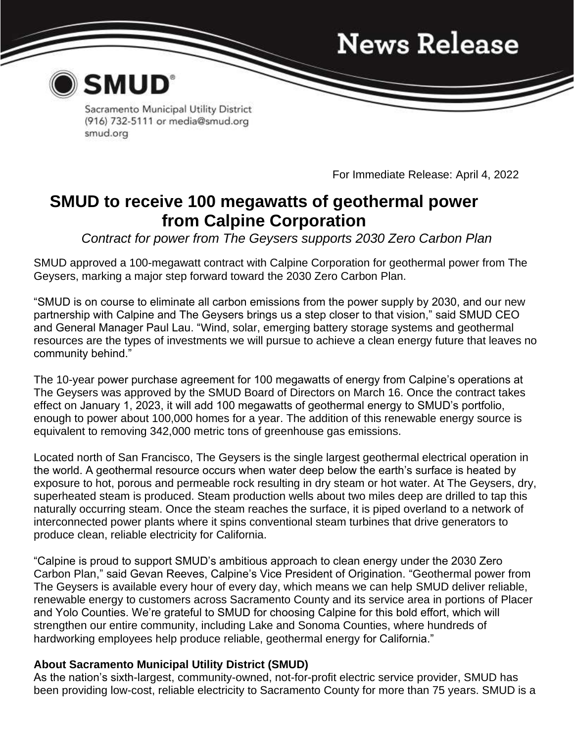## **News Release**



Sacramento Municipal Utility District (916) 732-5111 or media@smud.org smud.org

For Immediate Release: April 4, 2022

### **SMUD to receive 100 megawatts of geothermal power from Calpine Corporation**

*Contract for power from The Geysers supports 2030 Zero Carbon Plan*

SMUD approved a 100-megawatt contract with Calpine Corporation for geothermal power from The Geysers, marking a major step forward toward the 2030 Zero Carbon Plan.

"SMUD is on course to eliminate all carbon emissions from the power supply by 2030, and our new partnership with Calpine and The Geysers brings us a step closer to that vision," said SMUD CEO and General Manager Paul Lau. "Wind, solar, emerging battery storage systems and geothermal resources are the types of investments we will pursue to achieve a clean energy future that leaves no community behind."

The 10-year power purchase agreement for 100 megawatts of energy from Calpine's operations at The Geysers was approved by the SMUD Board of Directors on March 16. Once the contract takes effect on January 1, 2023, it will add 100 megawatts of geothermal energy to SMUD's portfolio, enough to power about 100,000 homes for a year. The addition of this renewable energy source is equivalent to removing 342,000 metric tons of greenhouse gas emissions.

Located north of San Francisco, The Geysers is the single largest geothermal electrical operation in the world. A geothermal resource occurs when water deep below the earth's surface is heated by exposure to hot, porous and permeable rock resulting in dry steam or hot water. At The Geysers, dry, superheated steam is produced. Steam production wells about two miles deep are drilled to tap this naturally occurring steam. Once the steam reaches the surface, it is piped overland to a network of interconnected power plants where it spins conventional steam turbines that drive generators to produce clean, reliable electricity for California.

"Calpine is proud to support SMUD's ambitious approach to clean energy under the 2030 Zero Carbon Plan," said Gevan Reeves, Calpine's Vice President of Origination. "Geothermal power from The Geysers is available every hour of every day, which means we can help SMUD deliver reliable, renewable energy to customers across Sacramento County and its service area in portions of Placer and Yolo Counties. We're grateful to SMUD for choosing Calpine for this bold effort, which will strengthen our entire community, including Lake and Sonoma Counties, where hundreds of hardworking employees help produce reliable, geothermal energy for California."

### **About Sacramento Municipal Utility District (SMUD)**

As the nation's sixth-largest, community-owned, not-for-profit electric service provider, SMUD has been providing low-cost, reliable electricity to Sacramento County for more than 75 years. SMUD is a